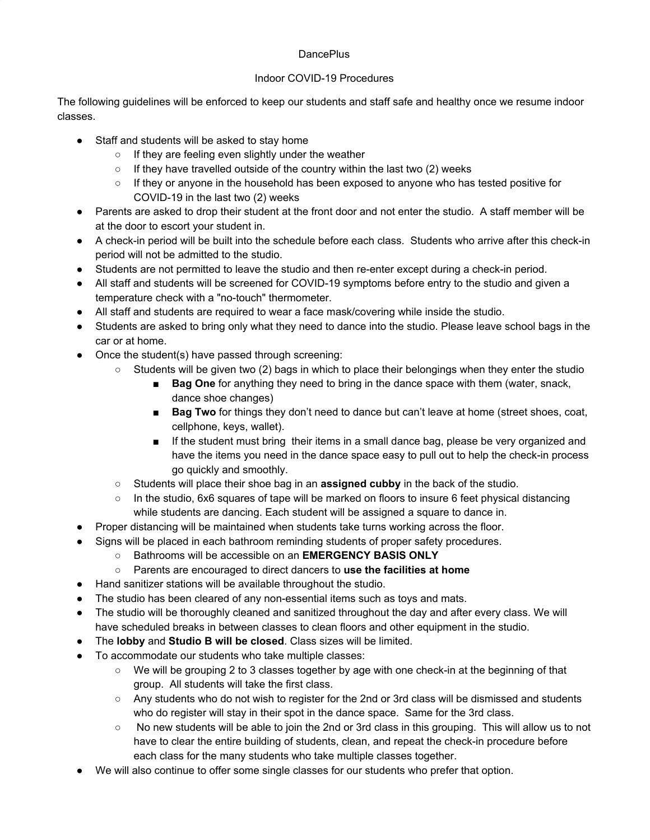## **DancePlus**

## Indoor COVID-19 Procedures

The following guidelines will be enforced to keep our students and staff safe and healthy once we resume indoor classes.

- Staff and students will be asked to stay home
	- If they are feeling even slightly under the weather
	- If they have travelled outside of the country within the last two (2) weeks
	- If they or anyone in the household has been exposed to anyone who has tested positive for COVID-19 in the last two (2) weeks
- Parents are asked to drop their student at the front door and not enter the studio. A staff member will be at the door to escort your student in.
- A check-in period will be built into the schedule before each class. Students who arrive after this check-in period will not be admitted to the studio.
- Students are not permitted to leave the studio and then re-enter except during a check-in period.
- All staff and students will be screened for COVID-19 symptoms before entry to the studio and given a temperature check with a "no-touch" thermometer.
- All staff and students are required to wear a face mask/covering while inside the studio.
- Students are asked to bring only what they need to dance into the studio. Please leave school bags in the car or at home.
- Once the student(s) have passed through screening:
	- $\circ$  Students will be given two (2) bags in which to place their belongings when they enter the studio
		- **Bag One** for anything they need to bring in the dance space with them (water, snack, dance shoe changes)
		- **Bag Two** for things they don't need to dance but can't leave at home (street shoes, coat, cellphone, keys, wallet).
		- If the student must bring their items in a small dance bag, please be very organized and have the items you need in the dance space easy to pull out to help the check-in process go quickly and smoothly.
	- Students will place their shoe bag in an **assigned cubby** in the back of the studio.
	- $\circ$  In the studio, 6x6 squares of tape will be marked on floors to insure 6 feet physical distancing while students are dancing. Each student will be assigned a square to dance in.
- Proper distancing will be maintained when students take turns working across the floor.
- Signs will be placed in each bathroom reminding students of proper safety procedures.
	- Bathrooms will be accessible on an **EMERGENCY BASIS ONLY**
	- Parents are encouraged to direct dancers to **use the facilities at home**
- Hand sanitizer stations will be available throughout the studio.
- The studio has been cleared of any non-essential items such as toys and mats.
- The studio will be thoroughly cleaned and sanitized throughout the day and after every class. We will have scheduled breaks in between classes to clean floors and other equipment in the studio.
- The **lobby** and **Studio B will be closed**. Class sizes will be limited.
- To accommodate our students who take multiple classes:
	- We will be grouping 2 to 3 classes together by age with one check-in at the beginning of that group. All students will take the first class.
	- Any students who do not wish to register for the 2nd or 3rd class will be dismissed and students who do register will stay in their spot in the dance space. Same for the 3rd class.
	- No new students will be able to join the 2nd or 3rd class in this grouping. This will allow us to not have to clear the entire building of students, clean, and repeat the check-in procedure before each class for the many students who take multiple classes together.
- We will also continue to offer some single classes for our students who prefer that option.